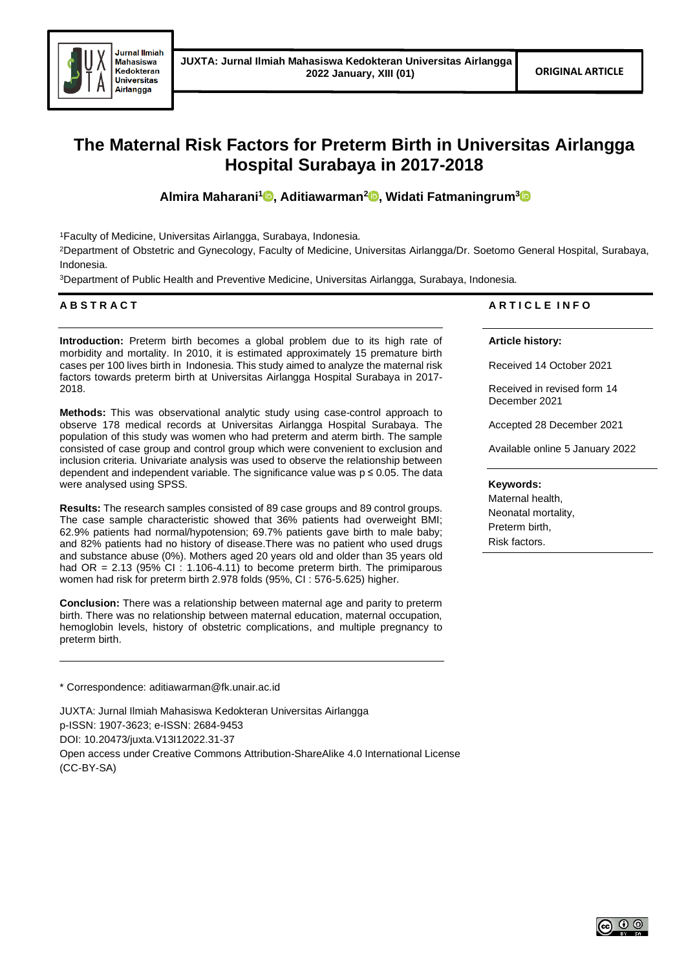

# **The Maternal Risk Factors for Preterm Birth in Universitas Airlangga Hospital Surabaya in 2017-2018**

**Almira Maharani[1](https://orcid.org/0000-0002-8760-5007) , Aditiawarman<sup>2</sup> [,](https://orcid.org/0000-0003-0680-5136) Widati Fatmaningrum[3](https://orcid.org/0000-0002-6697-5906)**

<sup>1</sup>Faculty of Medicine, Universitas Airlangga, Surabaya, Indonesia.

<sup>2</sup>Department of Obstetric and Gynecology, Faculty of Medicine, Universitas Airlangga/Dr. Soetomo General Hospital, Surabaya, Indonesia.

<sup>3</sup>Department of Public Health and Preventive Medicine, Universitas Airlangga, Surabaya, Indonesia.

# **A B S T R A C T**

**Introduction:** Preterm birth becomes a global problem due to its high rate of morbidity and mortality. In 2010, it is estimated approximately 15 premature birth cases per 100 lives birth in Indonesia. This study aimed to analyze the maternal risk factors towards preterm birth at Universitas Airlangga Hospital Surabaya in 2017- 2018.

**Methods:** This was observational analytic study using case-control approach to observe 178 medical records at Universitas Airlangga Hospital Surabaya. The population of this study was women who had preterm and aterm birth. The sample consisted of case group and control group which were convenient to exclusion and inclusion criteria. Univariate analysis was used to observe the relationship between dependent and independent variable. The significance value was  $p \le 0.05$ . The data were analysed using SPSS.

**Results:** The research samples consisted of 89 case groups and 89 control groups. The case sample characteristic showed that 36% patients had overweight BMI; 62.9% patients had normal/hypotension; 69.7% patients gave birth to male baby; and 82% patients had no history of disease.There was no patient who used drugs and substance abuse (0%). Mothers aged 20 years old and older than 35 years old had OR =  $2.13$  (95% CI : 1.106-4.11) to become preterm birth. The primiparous women had risk for preterm birth 2.978 folds (95%, CI : 576-5.625) higher.

**Conclusion:** There was a relationship between maternal age and parity to preterm birth. There was no relationship between maternal education, maternal occupation, hemoglobin levels, history of obstetric complications, and multiple pregnancy to preterm birth.

\* Correspondence: aditiawarman@fk.unair.ac.id

JUXTA: Jurnal Ilmiah Mahasiswa Kedokteran Universitas Airlangga p-ISSN: 1907-3623; e-ISSN: 2684-9453 DOI: 10.20473/juxta.V13I12022.31-37 Open access under Creative Commons Attribution-ShareAlike 4.0 International License (CC-BY-SA)

# **A R T I C L E I N F O**

**Article history:**

Received 14 October 2021

Received in revised form 14 December 2021

Accepted 28 December 2021

Available online 5 January 2022

#### **Keywords:**

Maternal health, Neonatal mortality, Preterm birth, Risk factors.

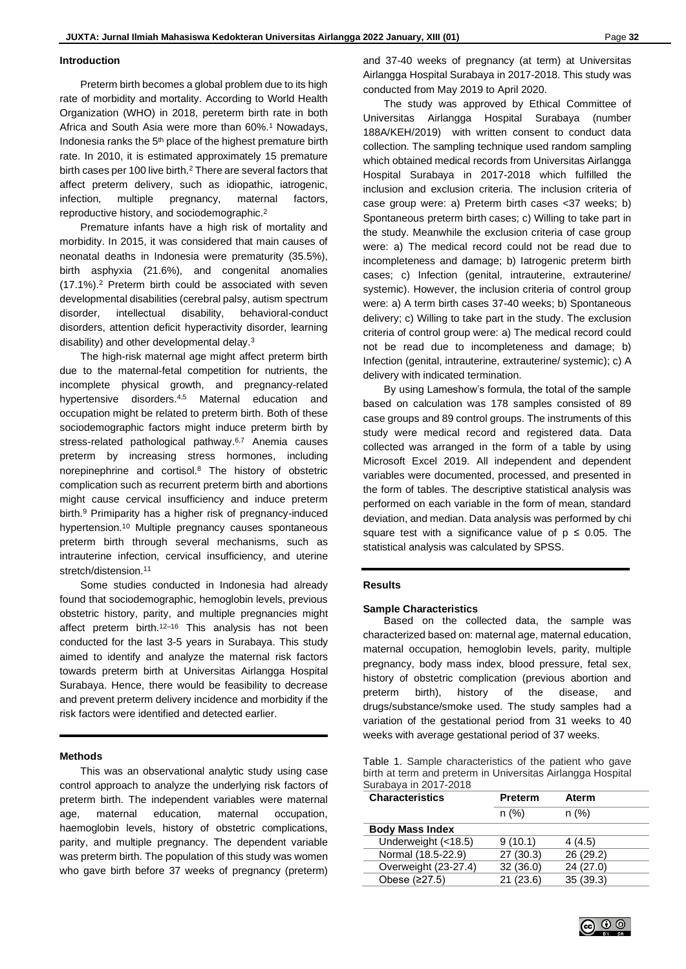#### **Introduction**

Preterm birth becomes a global problem due to its high rate of morbidity and mortality. According to World Health Organization (WHO) in 2018, pereterm birth rate in both Africa and South Asia were more than 60%.<sup>1</sup> Nowadays, Indonesia ranks the 5<sup>th</sup> place of the highest premature birth rate. In 2010, it is estimated approximately 15 premature birth cases per 100 live birth.<sup>2</sup> There are several factors that affect preterm delivery, such as idiopathic, iatrogenic, infection, multiple pregnancy, maternal factors, reproductive history, and sociodemographic. 2

Premature infants have a high risk of mortality and morbidity. In 2015, it was considered that main causes of neonatal deaths in Indonesia were prematurity (35.5%), birth asphyxia (21.6%), and congenital anomalies (17.1%).<sup>2</sup> Preterm birth could be associated with seven developmental disabilities (cerebral palsy, autism spectrum disorder, intellectual disability, behavioral-conduct disorders, attention deficit hyperactivity disorder, learning disability) and other developmental delay.<sup>3</sup>

The high-risk maternal age might affect preterm birth due to the maternal-fetal competition for nutrients, the incomplete physical growth, and pregnancy-related hypertensive disorders.4,5 Maternal education and occupation might be related to preterm birth. Both of these sociodemographic factors might induce preterm birth by stress-related pathological pathway.<sup>6,7</sup> Anemia causes preterm by increasing stress hormones, including norepinephrine and cortisol.<sup>8</sup> The history of obstetric complication such as recurrent preterm birth and abortions might cause cervical insufficiency and induce preterm birth.<sup>9</sup> Primiparity has a higher risk of pregnancy-induced hypertension.<sup>10</sup> Multiple pregnancy causes spontaneous preterm birth through several mechanisms, such as intrauterine infection, cervical insufficiency, and uterine stretch/distension.<sup>11</sup>

Some studies conducted in Indonesia had already found that sociodemographic, hemoglobin levels, previous obstetric history, parity, and multiple pregnancies might affect preterm birth.<sup>12-16</sup> This analysis has not been conducted for the last 3-5 years in Surabaya. This study aimed to identify and analyze the maternal risk factors towards preterm birth at Universitas Airlangga Hospital Surabaya. Hence, there would be feasibility to decrease and prevent preterm delivery incidence and morbidity if the risk factors were identified and detected earlier.

#### **Methods**

This was an observational analytic study using case control approach to analyze the underlying risk factors of preterm birth. The independent variables were maternal age, maternal education, maternal occupation, haemoglobin levels, history of obstetric complications, parity, and multiple pregnancy. The dependent variable was preterm birth. The population of this study was women who gave birth before 37 weeks of pregnancy (preterm)

and 37-40 weeks of pregnancy (at term) at Universitas Airlangga Hospital Surabaya in 2017-2018. This study was conducted from May 2019 to April 2020.

The study was approved by Ethical Committee of Universitas Airlangga Hospital Surabaya (number 188A/KEH/2019) with written consent to conduct data collection. The sampling technique used random sampling which obtained medical records from Universitas Airlangga Hospital Surabaya in 2017-2018 which fulfilled the inclusion and exclusion criteria. The inclusion criteria of case group were: a) Preterm birth cases <37 weeks; b) Spontaneous preterm birth cases; c) Willing to take part in the study. Meanwhile the exclusion criteria of case group were: a) The medical record could not be read due to incompleteness and damage; b) Iatrogenic preterm birth cases; c) Infection (genital, intrauterine, extrauterine/ systemic). However, the inclusion criteria of control group were: a) A term birth cases 37-40 weeks; b) Spontaneous delivery; c) Willing to take part in the study. The exclusion criteria of control group were: a) The medical record could not be read due to incompleteness and damage; b) Infection (genital, intrauterine, extrauterine/ systemic); c) A delivery with indicated termination.

By using Lameshow's formula, the total of the sample based on calculation was 178 samples consisted of 89 case groups and 89 control groups. The instruments of this study were medical record and registered data. Data collected was arranged in the form of a table by using Microsoft Excel 2019. All independent and dependent variables were documented, processed, and presented in the form of tables. The descriptive statistical analysis was performed on each variable in the form of mean, standard deviation, and median. Data analysis was performed by chi square test with a significance value of  $p \le 0.05$ . The statistical analysis was calculated by SPSS.

### **Results**

#### **Sample Characteristics**

Based on the collected data, the sample was characterized based on: maternal age, maternal education, maternal occupation, hemoglobin levels, parity, multiple pregnancy, body mass index, blood pressure, fetal sex, history of obstetric complication (previous abortion and preterm birth), history of the disease, and drugs/substance/smoke used. The study samples had a variation of the gestational period from 31 weeks to 40 weeks with average gestational period of 37 weeks.

| Table 1. Sample characteristics of the patient who gave     |
|-------------------------------------------------------------|
| birth at term and preterm in Universitas Airlangga Hospital |
| Surabaya in 2017-2018                                       |

| <b>Characteristics</b> | <b>Preterm</b> | <b>Aterm</b> |  |
|------------------------|----------------|--------------|--|
|                        | n(%)           | n(%)         |  |
| <b>Body Mass Index</b> |                |              |  |
| Underweight (<18.5)    | 9(10.1)        | 4(4.5)       |  |
| Normal (18.5-22.9)     | 27(30.3)       | 26(29.2)     |  |
| Overweight (23-27.4)   | 32(36.0)       | 24(27.0)     |  |
| Obese (≥27.5)          | 21(23.6)       | 35(39.3)     |  |
|                        |                |              |  |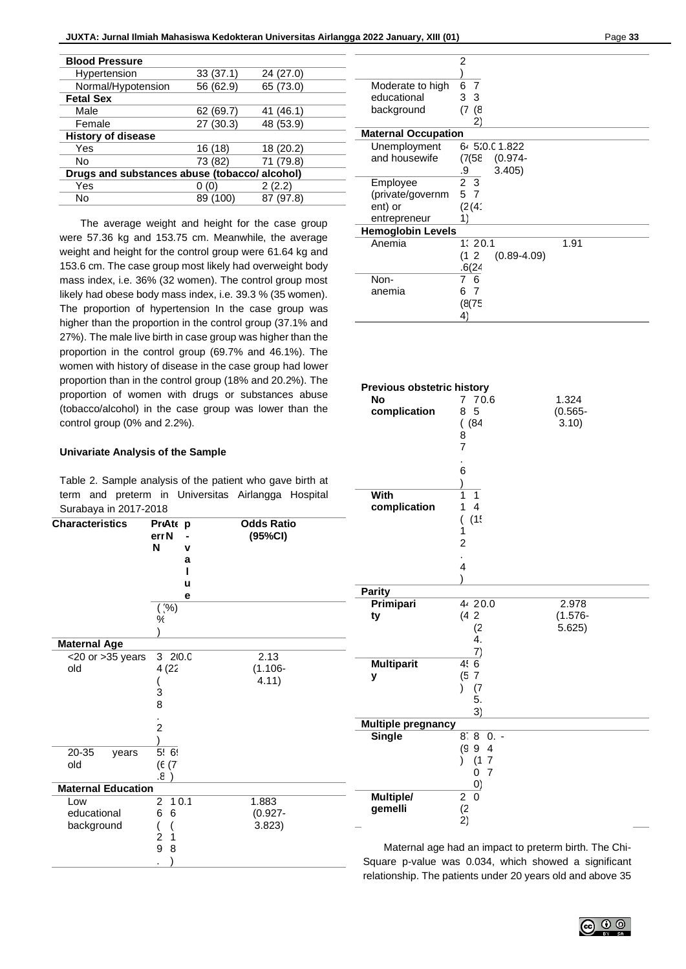| <b>Blood Pressure</b>                         |           |           |  |  |  |
|-----------------------------------------------|-----------|-----------|--|--|--|
| Hypertension                                  | 33(37.1)  | 24 (27.0) |  |  |  |
| Normal/Hypotension                            | 56 (62.9) | 65 (73.0) |  |  |  |
| <b>Fetal Sex</b>                              |           |           |  |  |  |
| Male                                          | 62 (69.7) | 41 (46.1) |  |  |  |
| Female                                        | 27 (30.3) | 48 (53.9) |  |  |  |
| <b>History of disease</b>                     |           |           |  |  |  |
| Yes                                           | 16 (18)   | 18 (20.2) |  |  |  |
| No                                            | 73 (82)   | 71 (79.8) |  |  |  |
| Drugs and substances abuse (tobacco/ alcohol) |           |           |  |  |  |
| Yes                                           |           | 2(2.2)    |  |  |  |
| No                                            | 89 (100)  | 87 (97.8) |  |  |  |
|                                               |           |           |  |  |  |

The average weight and height for the case group were 57.36 kg and 153.75 cm. Meanwhile, the average weight and height for the control group were 61.64 kg and 153.6 cm. The case group most likely had overweight body mass index, i.e. 36% (32 women). The control group most likely had obese body mass index, i.e. 39.3 % (35 women). The proportion of hypertension In the case group was higher than the proportion in the control group (37.1% and 27%). The male live birth in case group was higher than the proportion in the control group (69.7% and 46.1%). The women with history of disease in the case group had lower proportion than in the control group (18% and 20.2%). The proportion of women with drugs or substances abuse (tobacco/alcohol) in the case group was lower than the control group (0% and 2.2%).

## **Univariate Analysis of the Sample**

Table 2. Sample analysis of the patient who gave birth at term and preterm in Universitas Airlangga Hospital Surabaya in 2017-2018

| <b>Characteristics</b>    | PreAte p<br>err <sub>N</sub><br>N | v    | <b>Odds Ratio</b><br>(95%CI) |                           | (1!)                                                                  |        |
|---------------------------|-----------------------------------|------|------------------------------|---------------------------|-----------------------------------------------------------------------|--------|
|                           |                                   | а    |                              |                           |                                                                       |        |
|                           |                                   | u    |                              |                           |                                                                       |        |
|                           |                                   | е    |                              | <b>Parity</b>             |                                                                       |        |
|                           | $($ $\% )$                        |      |                              | Primipari                 | 44 20.0                                                               | 2.97   |
|                           | ℀                                 |      |                              | ty                        | (42)                                                                  | (1.57) |
|                           |                                   |      |                              |                           | (2                                                                    | 5.625  |
| <b>Maternal Age</b>       |                                   |      |                              |                           | 4.                                                                    |        |
| $<$ 20 or $>$ 35 years    | 3 2 0.0                           |      | 2.13                         |                           | 7)                                                                    |        |
| old                       | 4(22)                             |      | $(1.106 -$                   | <b>Multiparit</b>         | 4!6                                                                   |        |
|                           |                                   |      | 4.11)                        | у                         | (5)<br>7                                                              |        |
|                           | 3                                 |      |                              |                           | (7)                                                                   |        |
|                           | 8                                 |      |                              |                           | 5.                                                                    |        |
|                           |                                   |      |                              |                           | 3)                                                                    |        |
|                           | $\overline{2}$                    |      |                              | <b>Multiple pregnancy</b> |                                                                       |        |
|                           |                                   |      |                              | <b>Single</b>             | 8:8<br>$0. -$                                                         |        |
| 20-35<br>years            | 5!6!                              |      |                              |                           | (g<br>9<br>$\overline{4}$                                             |        |
| old                       | (E(7)                             |      |                              |                           | 11<br>7                                                               |        |
|                           | 8.                                |      |                              |                           | 7<br>0                                                                |        |
| <b>Maternal Education</b> |                                   |      |                              |                           |                                                                       |        |
| Low                       | $\overline{2}$                    | 10.1 | 1.883                        | Multiple/                 | $\overline{0}$<br>$\overline{2}$                                      |        |
| educational               | 6<br>6                            |      | $(0.927 -$                   | gemelli                   | (2)                                                                   |        |
| background                |                                   |      | 3.823)                       |                           | 2)                                                                    |        |
|                           | 2                                 |      |                              |                           |                                                                       |        |
|                           | 9<br>8                            |      |                              |                           | Maternal age had an impact to preterm birt                            |        |
|                           |                                   |      |                              |                           | Square p-value was 0.034, which showed a                              |        |
|                           |                                   |      |                              |                           | del est en els tre l'Eleccions de la complexa AA de escrito del del c |        |

|                            | 2              |                 |      |  |  |  |  |
|----------------------------|----------------|-----------------|------|--|--|--|--|
|                            |                |                 |      |  |  |  |  |
| Moderate to high           | 6 7            |                 |      |  |  |  |  |
| educational                | 3 <sub>3</sub> |                 |      |  |  |  |  |
| background                 | (7)<br>8)      |                 |      |  |  |  |  |
|                            | 2)             |                 |      |  |  |  |  |
| <b>Maternal Occupation</b> |                |                 |      |  |  |  |  |
| Unemployment               |                | 6.5:0.01.822    |      |  |  |  |  |
| and housewife              | (7(58)         | (0.974-         |      |  |  |  |  |
|                            | .9             | 3.405)          |      |  |  |  |  |
| Employee                   | 2 <sub>3</sub> |                 |      |  |  |  |  |
| (private/governm           | 5 7            |                 |      |  |  |  |  |
| ent) or                    | (2(4)          |                 |      |  |  |  |  |
| entrepreneur               | 1)             |                 |      |  |  |  |  |
| <b>Hemoglobin Levels</b>   |                |                 |      |  |  |  |  |
| Anemia                     | 1:20.1         |                 | 1.91 |  |  |  |  |
|                            | (12)           | $(0.89 - 4.09)$ |      |  |  |  |  |
|                            | .6(24)         |                 |      |  |  |  |  |
| Non-                       | -6<br>7        |                 |      |  |  |  |  |
| anemia                     | 7<br>6         |                 |      |  |  |  |  |
|                            | (8(75          |                 |      |  |  |  |  |
|                            | 4)             |                 |      |  |  |  |  |

| <b>Previous obstetric history</b> |                           |                                  |            |  |  |  |  |
|-----------------------------------|---------------------------|----------------------------------|------------|--|--|--|--|
|                                   | <b>No</b>                 | 70.6<br>$\overline{7}$           | 1.324      |  |  |  |  |
|                                   | complication              | 5<br>8                           | $(0.565 -$ |  |  |  |  |
|                                   |                           | ( (84)                           | 3.10)      |  |  |  |  |
|                                   |                           | 8                                |            |  |  |  |  |
|                                   |                           | 7                                |            |  |  |  |  |
|                                   |                           |                                  |            |  |  |  |  |
|                                   |                           | 6                                |            |  |  |  |  |
|                                   | With                      | $\lambda$<br>1<br>1              |            |  |  |  |  |
|                                   | complication              | $\overline{4}$<br>1              |            |  |  |  |  |
|                                   |                           | (1!                              |            |  |  |  |  |
|                                   |                           | (<br>1                           |            |  |  |  |  |
|                                   |                           | $\overline{c}$                   |            |  |  |  |  |
|                                   |                           |                                  |            |  |  |  |  |
|                                   |                           | 4                                |            |  |  |  |  |
|                                   |                           |                                  |            |  |  |  |  |
|                                   | <b>Parity</b>             |                                  |            |  |  |  |  |
|                                   | Primipari                 | 44 20.0                          | 2.978      |  |  |  |  |
|                                   | ty                        | (42)                             | $(1.576 -$ |  |  |  |  |
|                                   |                           | (2)<br>4.                        | 5.625)     |  |  |  |  |
|                                   |                           | $\mathsf{Z}$                     |            |  |  |  |  |
|                                   | <b>Multiparit</b>         | 4.6                              |            |  |  |  |  |
|                                   | у                         | (57)                             |            |  |  |  |  |
|                                   |                           | $\lambda$<br>(7)                 |            |  |  |  |  |
|                                   |                           | 5.                               |            |  |  |  |  |
|                                   |                           | 3)                               |            |  |  |  |  |
|                                   | <b>Multiple pregnancy</b> |                                  |            |  |  |  |  |
|                                   | <b>Single</b>             | $8.80 -$                         |            |  |  |  |  |
|                                   |                           | (994)                            |            |  |  |  |  |
|                                   |                           | (17)<br>$\lambda$                |            |  |  |  |  |
|                                   |                           | $\overline{7}$<br>0              |            |  |  |  |  |
|                                   |                           | $\overline{0}$<br>$\overline{0}$ |            |  |  |  |  |
|                                   | Multiple/<br>gemelli      | $\overline{c}$                   |            |  |  |  |  |
|                                   |                           | $\binom{2}{2}$                   |            |  |  |  |  |
|                                   |                           |                                  |            |  |  |  |  |

th. The Chisignificant relationship. The patients under 20 years old and above 35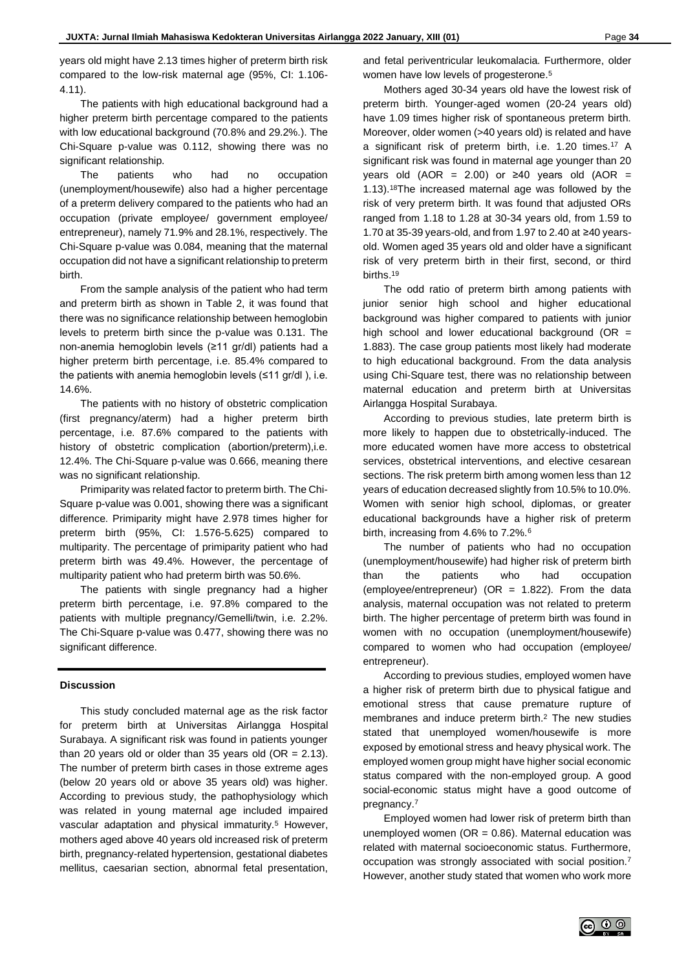years old might have 2.13 times higher of preterm birth risk compared to the low-risk maternal age (95%, CI: 1.106- 4.11).

The patients with high educational background had a higher preterm birth percentage compared to the patients with low educational background (70.8% and 29.2%.). The Chi-Square p-value was 0.112, showing there was no significant relationship.

The patients who had no occupation (unemployment/housewife) also had a higher percentage of a preterm delivery compared to the patients who had an occupation (private employee/ government employee/ entrepreneur), namely 71.9% and 28.1%, respectively. The Chi-Square p-value was 0.084, meaning that the maternal occupation did not have a significant relationship to preterm birth.

From the sample analysis of the patient who had term and preterm birth as shown in Table 2, it was found that there was no significance relationship between hemoglobin levels to preterm birth since the p-value was 0.131. The non-anemia hemoglobin levels (≥11 gr/dl) patients had a higher preterm birth percentage, i.e. 85.4% compared to the patients with anemia hemoglobin levels (≤11 gr/dl ), i.e. 14.6%.

The patients with no history of obstetric complication (first pregnancy/aterm) had a higher preterm birth percentage, i.e. 87.6% compared to the patients with history of obstetric complication (abortion/preterm), i.e. 12.4%. The Chi-Square p-value was 0.666, meaning there was no significant relationship.

Primiparity was related factor to preterm birth. The Chi-Square p-value was 0.001, showing there was a significant difference. Primiparity might have 2.978 times higher for preterm birth (95%, CI: 1.576-5.625) compared to multiparity. The percentage of primiparity patient who had preterm birth was 49.4%. However, the percentage of multiparity patient who had preterm birth was 50.6%.

The patients with single pregnancy had a higher preterm birth percentage, i.e. 97.8% compared to the patients with multiple pregnancy/Gemelli/twin, i.e. 2.2%. The Chi-Square p-value was 0.477, showing there was no significant difference.

## **Discussion**

This study concluded maternal age as the risk factor for preterm birth at Universitas Airlangga Hospital Surabaya. A significant risk was found in patients younger than 20 years old or older than 35 years old (OR =  $2.13$ ). The number of preterm birth cases in those extreme ages (below 20 years old or above 35 years old) was higher. According to previous study, the pathophysiology which was related in young maternal age included impaired vascular adaptation and physical immaturity.<sup>5</sup> However, mothers aged above 40 years old increased risk of preterm birth, pregnancy-related hypertension, gestational diabetes mellitus, caesarian section, abnormal fetal presentation,

and fetal periventricular leukomalacia. Furthermore, older women have low levels of progesterone.<sup>5</sup>

Mothers aged 30-34 years old have the lowest risk of preterm birth. Younger-aged women (20-24 years old) have 1.09 times higher risk of spontaneous preterm birth. Moreover, older women (>40 years old) is related and have a significant risk of preterm birth, i.e. 1.20 times.<sup>17</sup> A significant risk was found in maternal age younger than 20 years old (AOR = 2.00) or ≥40 years old (AOR = 1.13).<sup>18</sup>The increased maternal age was followed by the risk of very preterm birth. It was found that adjusted ORs ranged from 1.18 to 1.28 at 30-34 years old, from 1.59 to 1.70 at 35-39 years-old, and from 1.97 to 2.40 at ≥40 yearsold. Women aged 35 years old and older have a significant risk of very preterm birth in their first, second, or third births.<sup>19</sup>

The odd ratio of preterm birth among patients with junior senior high school and higher educational background was higher compared to patients with junior high school and lower educational background (OR  $=$ 1.883). The case group patients most likely had moderate to high educational background. From the data analysis using Chi-Square test, there was no relationship between maternal education and preterm birth at Universitas Airlangga Hospital Surabaya.

According to previous studies, late preterm birth is more likely to happen due to obstetrically-induced. The more educated women have more access to obstetrical services, obstetrical interventions, and elective cesarean sections. The risk preterm birth among women less than 12 years of education decreased slightly from 10.5% to 10.0%. Women with senior high school, diplomas, or greater educational backgrounds have a higher risk of preterm birth, increasing from 4.6% to 7.2%.<sup>6</sup>

The number of patients who had no occupation (unemployment/housewife) had higher risk of preterm birth than the patients who had occupation (employee/entrepreneur) ( $OR = 1.822$ ). From the data analysis, maternal occupation was not related to preterm birth. The higher percentage of preterm birth was found in women with no occupation (unemployment/housewife) compared to women who had occupation (employee/ entrepreneur).

According to previous studies, employed women have a higher risk of preterm birth due to physical fatigue and emotional stress that cause premature rupture of membranes and induce preterm birth.<sup>2</sup> The new studies stated that unemployed women/housewife is more exposed by emotional stress and heavy physical work. The employed women group might have higher social economic status compared with the non-employed group. A good social-economic status might have a good outcome of pregnancy.<sup>7</sup>

Employed women had lower risk of preterm birth than unemployed women ( $OR = 0.86$ ). Maternal education was related with maternal socioeconomic status. Furthermore, occupation was strongly associated with social position.7 However, another study stated that women who work more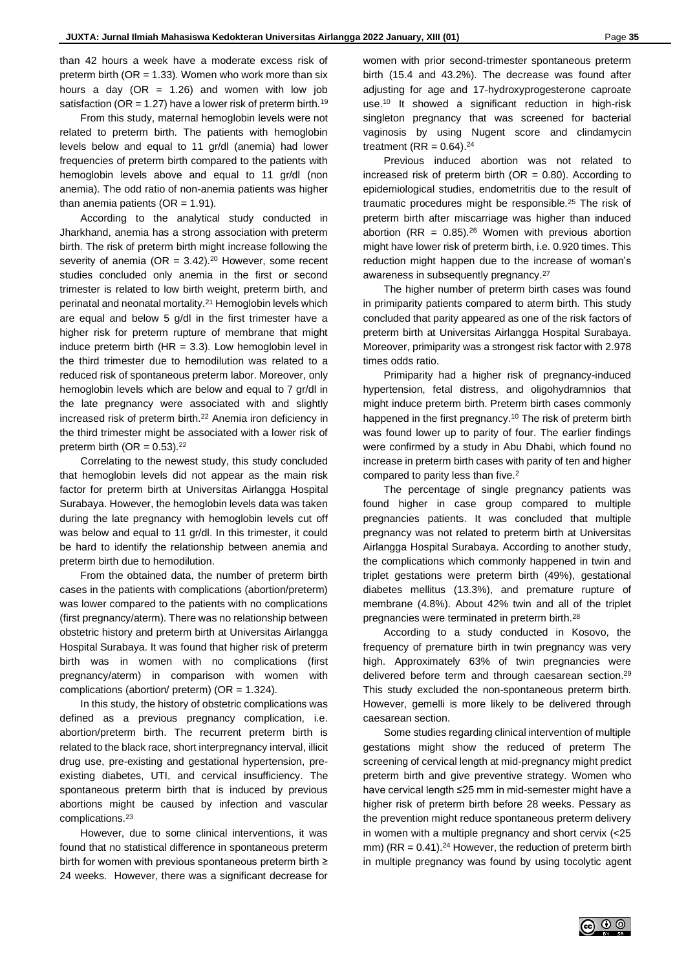than 42 hours a week have a moderate excess risk of preterm birth ( $OR = 1.33$ ). Women who work more than six hours a day (OR = 1.26) and women with low job satisfaction (OR = 1.27) have a lower risk of preterm birth.<sup>19</sup>

From this study, maternal hemoglobin levels were not related to preterm birth. The patients with hemoglobin levels below and equal to 11 gr/dl (anemia) had lower frequencies of preterm birth compared to the patients with hemoglobin levels above and equal to 11 gr/dl (non anemia). The odd ratio of non-anemia patients was higher than anemia patients ( $OR = 1.91$ ).

According to the analytical study conducted in Jharkhand, anemia has a strong association with preterm birth. The risk of preterm birth might increase following the severity of anemia (OR =  $3.42$ ).<sup>20</sup> However, some recent studies concluded only anemia in the first or second trimester is related to low birth weight, preterm birth, and perinatal and neonatal mortality.<sup>21</sup> Hemoglobin levels which are equal and below 5 g/dl in the first trimester have a higher risk for preterm rupture of membrane that might induce preterm birth (HR = 3.3). Low hemoglobin level in the third trimester due to hemodilution was related to a reduced risk of spontaneous preterm labor. Moreover, only hemoglobin levels which are below and equal to 7 gr/dl in the late pregnancy were associated with and slightly increased risk of preterm birth.<sup>22</sup> Anemia iron deficiency in the third trimester might be associated with a lower risk of preterm birth (OR =  $0.53$ ).<sup>22</sup>

Correlating to the newest study, this study concluded that hemoglobin levels did not appear as the main risk factor for preterm birth at Universitas Airlangga Hospital Surabaya. However, the hemoglobin levels data was taken during the late pregnancy with hemoglobin levels cut off was below and equal to 11 gr/dl. In this trimester, it could be hard to identify the relationship between anemia and preterm birth due to hemodilution.

From the obtained data, the number of preterm birth cases in the patients with complications (abortion/preterm) was lower compared to the patients with no complications (first pregnancy/aterm). There was no relationship between obstetric history and preterm birth at Universitas Airlangga Hospital Surabaya. It was found that higher risk of preterm birth was in women with no complications (first pregnancy/aterm) in comparison with women with complications (abortion/ preterm) (OR = 1.324).

In this study, the history of obstetric complications was defined as a previous pregnancy complication, i.e. abortion/preterm birth. The recurrent preterm birth is related to the black race, short interpregnancy interval, illicit drug use, pre-existing and gestational hypertension, preexisting diabetes, UTI, and cervical insufficiency. The spontaneous preterm birth that is induced by previous abortions might be caused by infection and vascular complications.<sup>23</sup>

However, due to some clinical interventions, it was found that no statistical difference in spontaneous preterm birth for women with previous spontaneous preterm birth ≥ 24 weeks. However, there was a significant decrease for

women with prior second-trimester spontaneous preterm birth (15.4 and 43.2%). The decrease was found after adjusting for age and 17-hydroxyprogesterone caproate use.<sup>10</sup> It showed a significant reduction in high-risk singleton pregnancy that was screened for bacterial vaginosis by using Nugent score and clindamycin treatment ( $RR = 0.64$ ).<sup>24</sup>

Previous induced abortion was not related to increased risk of preterm birth (OR =  $0.80$ ). According to epidemiological studies, endometritis due to the result of traumatic procedures might be responsible.<sup>25</sup> The risk of preterm birth after miscarriage was higher than induced abortion (RR =  $0.85$ ).<sup>26</sup> Women with previous abortion might have lower risk of preterm birth, i.e. 0.920 times. This reduction might happen due to the increase of woman's awareness in subsequently pregnancy.<sup>27</sup>

The higher number of preterm birth cases was found in primiparity patients compared to aterm birth. This study concluded that parity appeared as one of the risk factors of preterm birth at Universitas Airlangga Hospital Surabaya. Moreover, primiparity was a strongest risk factor with 2.978 times odds ratio.

Primiparity had a higher risk of pregnancy-induced hypertension, fetal distress, and oligohydramnios that might induce preterm birth. Preterm birth cases commonly happened in the first pregnancy.<sup>10</sup> The risk of preterm birth was found lower up to parity of four. The earlier findings were confirmed by a study in Abu Dhabi, which found no increase in preterm birth cases with parity of ten and higher compared to parity less than five.<sup>2</sup>

The percentage of single pregnancy patients was found higher in case group compared to multiple pregnancies patients. It was concluded that multiple pregnancy was not related to preterm birth at Universitas Airlangga Hospital Surabaya. According to another study, the complications which commonly happened in twin and triplet gestations were preterm birth (49%), gestational diabetes mellitus (13.3%), and premature rupture of membrane (4.8%). About 42% twin and all of the triplet pregnancies were terminated in preterm birth.<sup>28</sup>

According to a study conducted in Kosovo, the frequency of premature birth in twin pregnancy was very high. Approximately 63% of twin pregnancies were delivered before term and through caesarean section.<sup>29</sup> This study excluded the non-spontaneous preterm birth. However, gemelli is more likely to be delivered through caesarean section.

Some studies regarding clinical intervention of multiple gestations might show the reduced of preterm The screening of cervical length at mid-pregnancy might predict preterm birth and give preventive strategy. Women who have cervical length ≤25 mm in mid-semester might have a higher risk of preterm birth before 28 weeks. Pessary as the prevention might reduce spontaneous preterm delivery in women with a multiple pregnancy and short cervix (<25 mm) ( $RR = 0.41$ ).<sup>24</sup> However, the reduction of preterm birth in multiple pregnancy was found by using tocolytic agent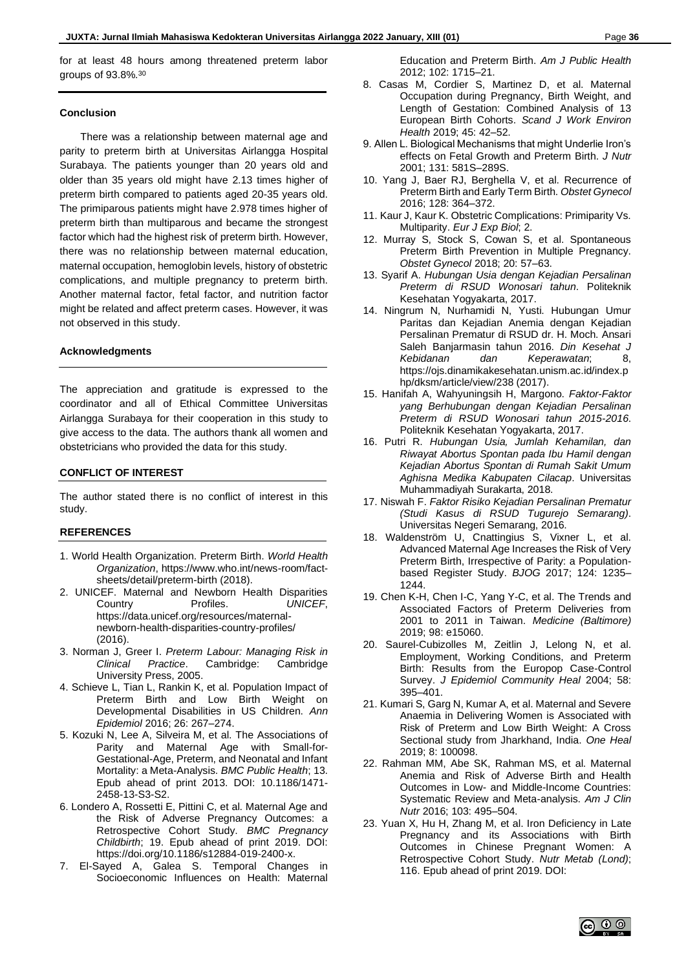for at least 48 hours among threatened preterm labor groups of 93.8%.<sup>30</sup>

#### **Conclusion**

There was a relationship between maternal age and parity to preterm birth at Universitas Airlangga Hospital Surabaya. The patients younger than 20 years old and older than 35 years old might have 2.13 times higher of preterm birth compared to patients aged 20-35 years old. The primiparous patients might have 2.978 times higher of preterm birth than multiparous and became the strongest factor which had the highest risk of preterm birth. However, there was no relationship between maternal education, maternal occupation, hemoglobin levels, history of obstetric complications, and multiple pregnancy to preterm birth. Another maternal factor, fetal factor, and nutrition factor might be related and affect preterm cases. However, it was not observed in this study.

#### **Acknowledgments**

The appreciation and gratitude is expressed to the coordinator and all of Ethical Committee Universitas Airlangga Surabaya for their cooperation in this study to give access to the data. The authors thank all women and obstetricians who provided the data for this study.

#### **CONFLICT OF INTEREST**

The author stated there is no conflict of interest in this study.

#### **REFERENCES**

- 1. World Health Organization. Preterm Birth. *World Health Organization*, https://www.who.int/news-room/factsheets/detail/preterm-birth (2018).
- 2. UNICEF. Maternal and Newborn Health Disparities Country Profiles. *UNICEF*, https://data.unicef.org/resources/maternalnewborn-health-disparities-country-profiles/ (2016).
- 3. Norman J, Greer I. *Preterm Labour: Managing Risk in Clinical Practice*. Cambridge: Cambridge University Press, 2005.
- 4. Schieve L, Tian L, Rankin K, et al. Population Impact of Preterm Birth and Low Birth Weight on Developmental Disabilities in US Children. *Ann Epidemiol* 2016; 26: 267–274.
- 5. Kozuki N, Lee A, Silveira M, et al. The Associations of Parity and Maternal Age with Small-for-Gestational-Age, Preterm, and Neonatal and Infant Mortality: a Meta-Analysis. *BMC Public Health*; 13. Epub ahead of print 2013. DOI: 10.1186/1471- 2458-13-S3-S2.
- 6. Londero A, Rossetti E, Pittini C, et al. Maternal Age and the Risk of Adverse Pregnancy Outcomes: a Retrospective Cohort Study. *BMC Pregnancy Childbirth*; 19. Epub ahead of print 2019. DOI: https://doi.org/10.1186/s12884-019-2400-x.
- 7. El-Sayed A, Galea S. Temporal Changes in Socioeconomic Influences on Health: Maternal

Education and Preterm Birth. *Am J Public Health* 2012; 102: 1715–21.

- 8. Casas M, Cordier S, Martinez D, et al. Maternal Occupation during Pregnancy, Birth Weight, and Length of Gestation: Combined Analysis of 13 European Birth Cohorts. *Scand J Work Environ Health* 2019; 45: 42–52.
- 9. Allen L. Biological Mechanisms that might Underlie Iron's effects on Fetal Growth and Preterm Birth. *J Nutr* 2001; 131: 581S–289S.
- 10. Yang J, Baer RJ, Berghella V, et al. Recurrence of Preterm Birth and Early Term Birth. *Obstet Gynecol* 2016; 128: 364–372.
- 11. Kaur J, Kaur K. Obstetric Complications: Primiparity Vs. Multiparity. *Eur J Exp Biol*; 2.
- 12. Murray S, Stock S, Cowan S, et al. Spontaneous Preterm Birth Prevention in Multiple Pregnancy. *Obstet Gynecol* 2018; 20: 57–63.
- 13. Syarif A. *Hubungan Usia dengan Kejadian Persalinan Preterm di RSUD Wonosari tahun*. Politeknik Kesehatan Yogyakarta, 2017.
- 14. Ningrum N, Nurhamidi N, Yusti. Hubungan Umur Paritas dan Kejadian Anemia dengan Kejadian Persalinan Prematur di RSUD dr. H. Moch. Ansari Saleh Banjarmasin tahun 2016. *Din Kesehat J Kebidanan dan Keperawatan*; 8, https://ojs.dinamikakesehatan.unism.ac.id/index.p hp/dksm/article/view/238 (2017).
- 15. Hanifah A, Wahyuningsih H, Margono. *Faktor-Faktor yang Berhubungan dengan Kejadian Persalinan Preterm di RSUD Wonosari tahun 2015-2016*. Politeknik Kesehatan Yogyakarta, 2017.
- 16. Putri R. *Hubungan Usia, Jumlah Kehamilan, dan Riwayat Abortus Spontan pada Ibu Hamil dengan Kejadian Abortus Spontan di Rumah Sakit Umum Aghisna Medika Kabupaten Cilacap*. Universitas Muhammadiyah Surakarta, 2018.
- 17. Niswah F. *Faktor Risiko Kejadian Persalinan Prematur (Studi Kasus di RSUD Tugurejo Semarang)*. Universitas Negeri Semarang, 2016.
- 18. Waldenström U, Cnattingius S, Vixner L, et al. Advanced Maternal Age Increases the Risk of Very Preterm Birth, Irrespective of Parity: a Populationbased Register Study. *BJOG* 2017; 124: 1235– 1244.
- 19. Chen K-H, Chen I-C, Yang Y-C, et al. The Trends and Associated Factors of Preterm Deliveries from 2001 to 2011 in Taiwan. *Medicine (Baltimore)* 2019; 98: e15060.
- 20. Saurel-Cubizolles M, Zeitlin J, Lelong N, et al. Employment, Working Conditions, and Preterm Birth: Results from the Europop Case-Control Survey. *J Epidemiol Community Heal* 2004; 58: 395–401.
- 21. Kumari S, Garg N, Kumar A, et al. Maternal and Severe Anaemia in Delivering Women is Associated with Risk of Preterm and Low Birth Weight: A Cross Sectional study from Jharkhand, India. *One Heal* 2019; 8: 100098.
- 22. Rahman MM, Abe SK, Rahman MS, et al. Maternal Anemia and Risk of Adverse Birth and Health Outcomes in Low- and Middle-Income Countries: Systematic Review and Meta-analysis. *Am J Clin Nutr* 2016; 103: 495–504.
- 23. Yuan X, Hu H, Zhang M, et al. Iron Deficiency in Late Pregnancy and its Associations with Birth Outcomes in Chinese Pregnant Women: A Retrospective Cohort Study. *Nutr Metab (Lond)*; 116. Epub ahead of print 2019. DOI: